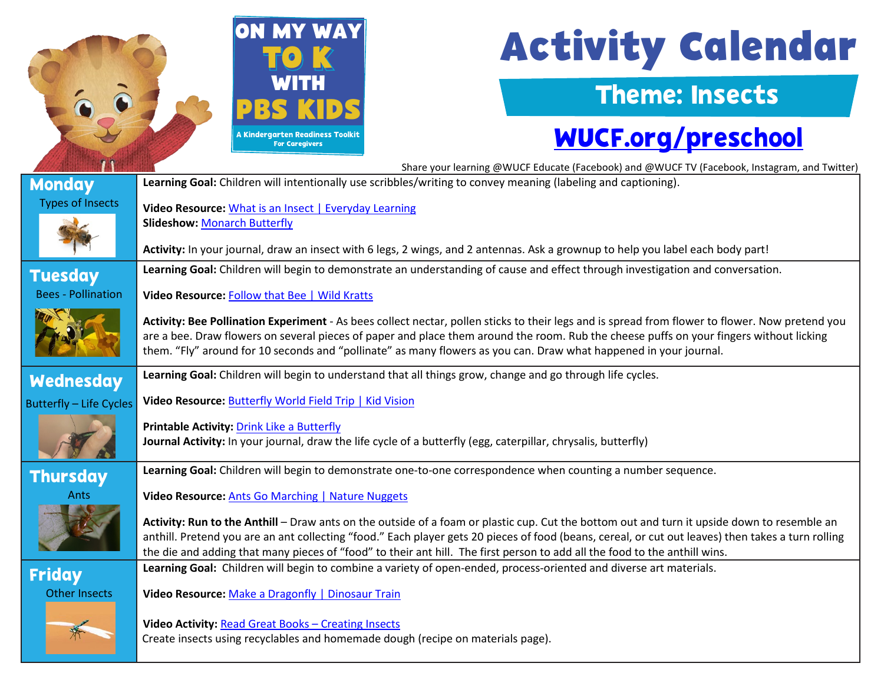

# **Activity Calendar**

#### Theme: Insects

### [WUCF.org/preschool](https://www.wucf.org/community/family/wucf-on-my-way-to-k/)

|                                | Share your learning @WUCF Educate (Facebook) and @WUCF TV (Facebook, Instagram, and Twitter)                                                                                                                                                                                                                                                                                                                                    |  |  |
|--------------------------------|---------------------------------------------------------------------------------------------------------------------------------------------------------------------------------------------------------------------------------------------------------------------------------------------------------------------------------------------------------------------------------------------------------------------------------|--|--|
| <b>Monday</b>                  | Learning Goal: Children will intentionally use scribbles/writing to convey meaning (labeling and captioning).                                                                                                                                                                                                                                                                                                                   |  |  |
| <b>Types of Insects</b>        | Video Resource: What is an Insect   Everyday Learning                                                                                                                                                                                                                                                                                                                                                                           |  |  |
|                                | <b>Slideshow: Monarch Butterfly</b>                                                                                                                                                                                                                                                                                                                                                                                             |  |  |
|                                | Activity: In your journal, draw an insect with 6 legs, 2 wings, and 2 antennas. Ask a grownup to help you label each body part!                                                                                                                                                                                                                                                                                                 |  |  |
| <b>Tuesday</b>                 | Learning Goal: Children will begin to demonstrate an understanding of cause and effect through investigation and conversation.                                                                                                                                                                                                                                                                                                  |  |  |
| <b>Bees - Pollination</b>      | Video Resource: Follow that Bee   Wild Kratts                                                                                                                                                                                                                                                                                                                                                                                   |  |  |
|                                | Activity: Bee Pollination Experiment - As bees collect nectar, pollen sticks to their legs and is spread from flower to flower. Now pretend you<br>are a bee. Draw flowers on several pieces of paper and place them around the room. Rub the cheese puffs on your fingers without licking<br>them. "Fly" around for 10 seconds and "pollinate" as many flowers as you can. Draw what happened in your journal.                 |  |  |
| <b>Wednesday</b>               | Learning Goal: Children will begin to understand that all things grow, change and go through life cycles.                                                                                                                                                                                                                                                                                                                       |  |  |
| <b>Butterfly - Life Cycles</b> | Video Resource: Butterfly World Field Trip   Kid Vision                                                                                                                                                                                                                                                                                                                                                                         |  |  |
|                                | Printable Activity: Drink Like a Butterfly<br>Journal Activity: In your journal, draw the life cycle of a butterfly (egg, caterpillar, chrysalis, butterfly)                                                                                                                                                                                                                                                                    |  |  |
| <b>Thursday</b>                | Learning Goal: Children will begin to demonstrate one-to-one correspondence when counting a number sequence.                                                                                                                                                                                                                                                                                                                    |  |  |
| Ants                           | Video Resource: Ants Go Marching   Nature Nuggets                                                                                                                                                                                                                                                                                                                                                                               |  |  |
|                                | Activity: Run to the Anthill - Draw ants on the outside of a foam or plastic cup. Cut the bottom out and turn it upside down to resemble an<br>anthill. Pretend you are an ant collecting "food." Each player gets 20 pieces of food (beans, cereal, or cut out leaves) then takes a turn rolling<br>the die and adding that many pieces of "food" to their ant hill. The first person to add all the food to the anthill wins. |  |  |
| <b>Friday</b>                  | Learning Goal: Children will begin to combine a variety of open-ended, process-oriented and diverse art materials.                                                                                                                                                                                                                                                                                                              |  |  |
| <b>Other Insects</b>           | Video Resource: Make a Dragonfly   Dinosaur Train                                                                                                                                                                                                                                                                                                                                                                               |  |  |
|                                | Video Activity: Read Great Books - Creating Insects<br>Create insects using recyclables and homemade dough (recipe on materials page).                                                                                                                                                                                                                                                                                          |  |  |